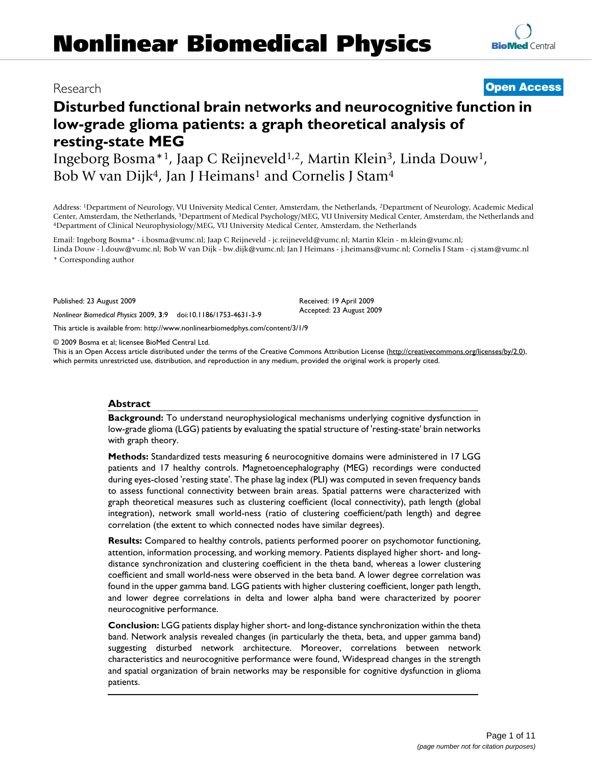# **Disturbed functional brain networks and neurocognitive function in low-grade glioma patients: a graph theoretical analysis of resting-state MEG**

Ingeborg Bosma\*1, Jaap C Reijneveld1,2, Martin Klein3, Linda Douw1, Bob W van Dijk<sup>4</sup>, Jan J Heimans<sup>1</sup> and Cornelis J Stam<sup>4</sup>

Address: 1Department of Neurology, VU University Medical Center, Amsterdam, the Netherlands, 2Department of Neurology, Academic Medical Center, Amsterdam, the Netherlands, <sup>3</sup>Department of Medical Psychology/MEG, VU University Medical Center, Amsterdam, the Netherlands and 4Department of Clinical Neurophysiology/MEG, VU University Medical Center, Amsterdam

Email: Ingeborg Bosma\* - i.bosma@vumc.nl; Jaap C Reijneveld - jc.reijneveld@vumc.nl; Martin Klein - m.klein@vumc.nl; Linda Douw - l.douw@vumc.nl; Bob W van Dijk - bw.dijk@vumc.nl; Jan J Heimans - j.heimans@vumc.nl; Cornelis J Stam - cj.stam@vumc.nl \* Corresponding author

Published: 23 August 2009

*Nonlinear Biomedical Physics* 2009, **3**:9 doi:10.1186/1753-4631-3-9

[This article is available from: http://www.nonlinearbiomedphys.com/content/3/1/9](http://www.nonlinearbiomedphys.com/content/3/1/9)

© 2009 Bosma et al; licensee BioMed Central Ltd.

This is an Open Access article distributed under the terms of the Creative Commons Attribution License [\(http://creativecommons.org/licenses/by/2.0\)](http://creativecommons.org/licenses/by/2.0), which permits unrestricted use, distribution, and reproduction in any medium, provided the original work is properly cited.

#### **Abstract**

**Background:** To understand neurophysiological mechanisms underlying cognitive dysfunction in low-grade glioma (LGG) patients by evaluating the spatial structure of 'resting-state' brain networks with graph theory.

**Methods:** Standardized tests measuring 6 neurocognitive domains were administered in 17 LGG patients and 17 healthy controls. Magnetoencephalography (MEG) recordings were conducted during eyes-closed 'resting state'. The phase lag index (PLI) was computed in seven frequency bands to assess functional connectivity between brain areas. Spatial patterns were characterized with graph theoretical measures such as clustering coefficient (local connectivity), path length (global integration), network small world-ness (ratio of clustering coefficient/path length) and degree correlation (the extent to which connected nodes have similar degrees).

**Results:** Compared to healthy controls, patients performed poorer on psychomotor functioning, attention, information processing, and working memory. Patients displayed higher short- and longdistance synchronization and clustering coefficient in the theta band, whereas a lower clustering coefficient and small world-ness were observed in the beta band. A lower degree correlation was found in the upper gamma band. LGG patients with higher clustering coefficient, longer path length, and lower degree correlations in delta and lower alpha band were characterized by poorer neurocognitive performance.

**Conclusion:** LGG patients display higher short- and long-distance synchronization within the theta band. Network analysis revealed changes (in particularly the theta, beta, and upper gamma band) suggesting disturbed network architecture. Moreover, correlations between network characteristics and neurocognitive performance were found, Widespread changes in the strength and spatial organization of brain networks may be responsible for cognitive dysfunction in glioma patients.

# Research **[Open Access](http://www.biomedcentral.com/info/about/charter/)**

Received: 19 April 2009 Accepted: 23 August 2009

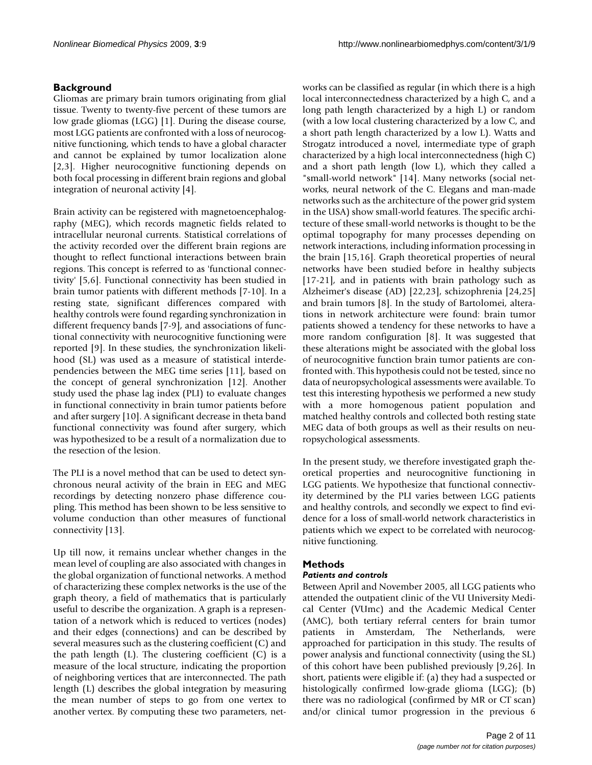### **Background**

Gliomas are primary brain tumors originating from glial tissue. Twenty to twenty-five percent of these tumors are low grade gliomas (LGG) [1]. During the disease course, most LGG patients are confronted with a loss of neurocognitive functioning, which tends to have a global character and cannot be explained by tumor localization alone [2,3]. Higher neurocognitive functioning depends on both focal processing in different brain regions and global integration of neuronal activity [4].

Brain activity can be registered with magnetoencephalography (MEG), which records magnetic fields related to intracellular neuronal currents. Statistical correlations of the activity recorded over the different brain regions are thought to reflect functional interactions between brain regions. This concept is referred to as 'functional connectivity' [5,6]. Functional connectivity has been studied in brain tumor patients with different methods [7-10]. In a resting state, significant differences compared with healthy controls were found regarding synchronization in different frequency bands [7-9], and associations of functional connectivity with neurocognitive functioning were reported [9]. In these studies, the synchronization likelihood (SL) was used as a measure of statistical interdependencies between the MEG time series [11], based on the concept of general synchronization [12]. Another study used the phase lag index (PLI) to evaluate changes in functional connectivity in brain tumor patients before and after surgery [10]. A significant decrease in theta band functional connectivity was found after surgery, which was hypothesized to be a result of a normalization due to the resection of the lesion.

The PLI is a novel method that can be used to detect synchronous neural activity of the brain in EEG and MEG recordings by detecting nonzero phase difference coupling. This method has been shown to be less sensitive to volume conduction than other measures of functional connectivity [13].

Up till now, it remains unclear whether changes in the mean level of coupling are also associated with changes in the global organization of functional networks. A method of characterizing these complex networks is the use of the graph theory, a field of mathematics that is particularly useful to describe the organization. A graph is a representation of a network which is reduced to vertices (nodes) and their edges (connections) and can be described by several measures such as the clustering coefficient (C) and the path length  $(L)$ . The clustering coefficient  $(C)$  is a measure of the local structure, indicating the proportion of neighboring vertices that are interconnected. The path length (L) describes the global integration by measuring the mean number of steps to go from one vertex to another vertex. By computing these two parameters, networks can be classified as regular (in which there is a high local interconnectedness characterized by a high C, and a long path length characterized by a high L) or random (with a low local clustering characterized by a low C, and a short path length characterized by a low L). Watts and Strogatz introduced a novel, intermediate type of graph characterized by a high local interconnectedness (high C) and a short path length (low L), which they called a "small-world network" [14]. Many networks (social networks, neural network of the C. Elegans and man-made networks such as the architecture of the power grid system in the USA) show small-world features. The specific architecture of these small-world networks is thought to be the optimal topography for many processes depending on network interactions, including information processing in the brain [15,16]. Graph theoretical properties of neural networks have been studied before in healthy subjects [17-21], and in patients with brain pathology such as Alzheimer's disease (AD) [22,23], schizophrenia [24,25] and brain tumors [8]. In the study of Bartolomei, alterations in network architecture were found: brain tumor patients showed a tendency for these networks to have a more random configuration [8]. It was suggested that these alterations might be associated with the global loss of neurocognitive function brain tumor patients are confronted with. This hypothesis could not be tested, since no data of neuropsychological assessments were available. To test this interesting hypothesis we performed a new study with a more homogenous patient population and matched healthy controls and collected both resting state MEG data of both groups as well as their results on neuropsychological assessments.

In the present study, we therefore investigated graph theoretical properties and neurocognitive functioning in LGG patients. We hypothesize that functional connectivity determined by the PLI varies between LGG patients and healthy controls, and secondly we expect to find evidence for a loss of small-world network characteristics in patients which we expect to be correlated with neurocognitive functioning.

### **Methods**

### *Patients and controls*

Between April and November 2005, all LGG patients who attended the outpatient clinic of the VU University Medical Center (VUmc) and the Academic Medical Center (AMC), both tertiary referral centers for brain tumor patients in Amsterdam, The Netherlands, were approached for participation in this study. The results of power analysis and functional connectivity (using the SL) of this cohort have been published previously [9,26]. In short, patients were eligible if: (a) they had a suspected or histologically confirmed low-grade glioma (LGG); (b) there was no radiological (confirmed by MR or CT scan) and/or clinical tumor progression in the previous 6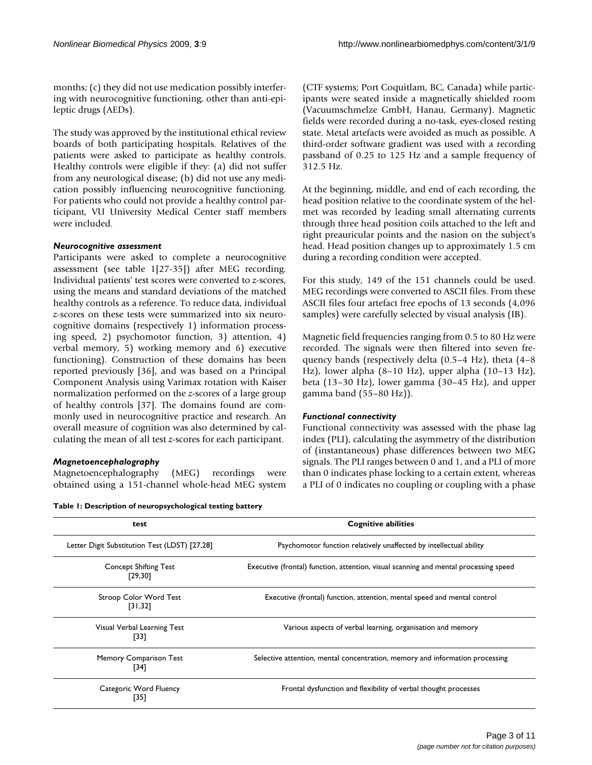months; (c) they did not use medication possibly interfering with neurocognitive functioning, other than anti-epileptic drugs (AEDs).

The study was approved by the institutional ethical review boards of both participating hospitals. Relatives of the patients were asked to participate as healthy controls. Healthy controls were eligible if they: (a) did not suffer from any neurological disease; (b) did not use any medication possibly influencing neurocognitive functioning. For patients who could not provide a healthy control participant, VU University Medical Center staff members were included.

#### *Neurocognitive assessment*

Participants were asked to complete a neurocognitive assessment (see table 1[27-35]) after MEG recording. Individual patients' test scores were converted to *z*-scores, using the means and standard deviations of the matched healthy controls as a reference. To reduce data, individual *z*-scores on these tests were summarized into six neurocognitive domains (respectively 1) information processing speed, 2) psychomotor function, 3) attention, 4) verbal memory, 5) working memory and 6) executive functioning). Construction of these domains has been reported previously [36], and was based on a Principal Component Analysis using Varimax rotation with Kaiser normalization performed on the *z*-scores of a large group of healthy controls [37]. The domains found are commonly used in neurocognitive practice and research. An overall measure of cognition was also determined by calculating the mean of all test *z*-scores for each participant.

#### *Magnetoencephalography*

Magnetoencephalography (MEG) recordings were obtained using a 151-channel whole-head MEG system

|  | Table 1: Description of neuropsychological testing battery |  |
|--|------------------------------------------------------------|--|
|--|------------------------------------------------------------|--|

(CTF systems; Port Coquitlam, BC, Canada) while participants were seated inside a magnetically shielded room (Vacuumschmelze GmbH, Hanau, Germany). Magnetic fields were recorded during a no-task, eyes-closed resting state. Metal artefacts were avoided as much as possible. A third-order software gradient was used with a recording passband of 0.25 to 125 Hz and a sample frequency of 312.5 Hz.

At the beginning, middle, and end of each recording, the head position relative to the coordinate system of the helmet was recorded by leading small alternating currents through three head position coils attached to the left and right preauricular points and the nasion on the subject's head. Head position changes up to approximately 1.5 cm during a recording condition were accepted.

For this study, 149 of the 151 channels could be used. MEG recordings were converted to ASCII files. From these ASCII files four artefact free epochs of 13 seconds (4,096 samples) were carefully selected by visual analysis (IB).

Magnetic field frequencies ranging from 0.5 to 80 Hz were recorded. The signals were then filtered into seven frequency bands (respectively delta (0.5–4 Hz), theta (4–8 Hz), lower alpha (8–10 Hz), upper alpha (10–13 Hz), beta (13–30 Hz), lower gamma (30–45 Hz), and upper gamma band (55–80 Hz)).

#### *Functional connectivity*

Functional connectivity was assessed with the phase lag index (PLI), calculating the asymmetry of the distribution of (instantaneous) phase differences between two MEG signals. The PLI ranges between 0 and 1, and a PLI of more than 0 indicates phase locking to a certain extent, whereas a PLI of 0 indicates no coupling or coupling with a phase

| test                                          | <b>Cognitive abilities</b>                                                           |
|-----------------------------------------------|--------------------------------------------------------------------------------------|
| Letter Digit Substitution Test (LDST) [27,28] | Psychomotor function relatively unaffected by intellectual ability                   |
| <b>Concept Shifting Test</b><br>[29, 30]      | Executive (frontal) function, attention, visual scanning and mental processing speed |
| Stroop Color Word Test<br>[31, 32]            | Executive (frontal) function, attention, mental speed and mental control             |
| Visual Verbal Learning Test<br>[33]           | Various aspects of verbal learning, organisation and memory                          |
| Memory Comparison Test<br>[34]                | Selective attention, mental concentration, memory and information processing         |
| Categoric Word Fluency<br>[35]                | Frontal dysfunction and flexibility of verbal thought processes                      |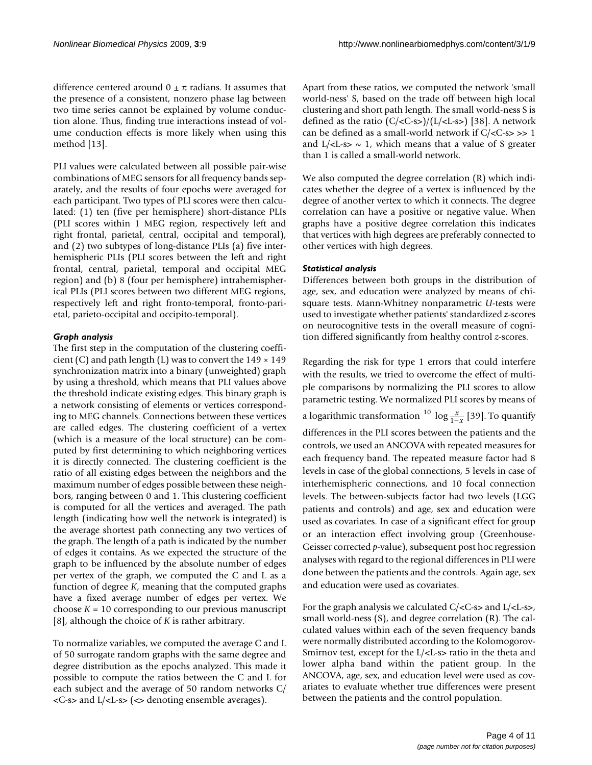difference centered around  $0 \pm \pi$  radians. It assumes that the presence of a consistent, nonzero phase lag between two time series cannot be explained by volume conduction alone. Thus, finding true interactions instead of volume conduction effects is more likely when using this method [13].

PLI values were calculated between all possible pair-wise combinations of MEG sensors for all frequency bands separately, and the results of four epochs were averaged for each participant. Two types of PLI scores were then calculated: (1) ten (five per hemisphere) short-distance PLIs (PLI scores within 1 MEG region, respectively left and right frontal, parietal, central, occipital and temporal), and (2) two subtypes of long-distance PLIs (a) five interhemispheric PLIs (PLI scores between the left and right frontal, central, parietal, temporal and occipital MEG region) and (b) 8 (four per hemisphere) intrahemispherical PLIs (PLI scores between two different MEG regions, respectively left and right fronto-temporal, fronto-parietal, parieto-occipital and occipito-temporal).

#### *Graph analysis*

The first step in the computation of the clustering coefficient (C) and path length (L) was to convert the  $149 \times 149$ synchronization matrix into a binary (unweighted) graph by using a threshold, which means that PLI values above the threshold indicate existing edges. This binary graph is a network consisting of elements or vertices corresponding to MEG channels. Connections between these vertices are called edges. The clustering coefficient of a vertex (which is a measure of the local structure) can be computed by first determining to which neighboring vertices it is directly connected. The clustering coefficient is the ratio of all existing edges between the neighbors and the maximum number of edges possible between these neighbors, ranging between 0 and 1. This clustering coefficient is computed for all the vertices and averaged. The path length (indicating how well the network is integrated) is the average shortest path connecting any two vertices of the graph. The length of a path is indicated by the number of edges it contains. As we expected the structure of the graph to be influenced by the absolute number of edges per vertex of the graph, we computed the C and L as a function of degree *K*, meaning that the computed graphs have a fixed average number of edges per vertex. We choose  $K = 10$  corresponding to our previous manuscript [8], although the choice of *K* is rather arbitrary.

To normalize variables, we computed the average C and L of 50 surrogate random graphs with the same degree and degree distribution as the epochs analyzed. This made it possible to compute the ratios between the C and L for each subject and the average of 50 random networks C/  $\langle$  <C-s> and L $\langle$  <L-s> ( $\langle$  denoting ensemble averages).

Apart from these ratios, we computed the network 'small world-ness' S, based on the trade off between high local clustering and short path length. The small world-ness S is defined as the ratio  $(C/**C**-**s**)/(L/**L**-**s**)$  [38]. A network can be defined as a small-world network if  $C/**C**-s>>1$ and  $L/*L*-s$  ~ 1, which means that a value of S greater than 1 is called a small-world network.

We also computed the degree correlation (R) which indicates whether the degree of a vertex is influenced by the degree of another vertex to which it connects. The degree correlation can have a positive or negative value. When graphs have a positive degree correlation this indicates that vertices with high degrees are preferably connected to other vertices with high degrees.

#### *Statistical analysis*

Differences between both groups in the distribution of age, sex, and education were analyzed by means of chisquare tests. Mann-Whitney nonparametric *U*-tests were used to investigate whether patients' standardized *z*-scores on neurocognitive tests in the overall measure of cognition differed significantly from healthy control *z*-scores.

Regarding the risk for type 1 errors that could interfere with the results, we tried to overcome the effect of multiple comparisons by normalizing the PLI scores to allow parametric testing. We normalized PLI scores by means of a logarithmic transformation  $\frac{10}{1-x}$  [39]. To quantify differences in the PLI scores between the patients and the controls, we used an ANCOVA with repeated measures for each frequency band. The repeated measure factor had 8 levels in case of the global connections, 5 levels in case of interhemispheric connections, and 10 focal connection levels. The between-subjects factor had two levels (LGG patients and controls) and age, sex and education were used as covariates. In case of a significant effect for group or an interaction effect involving group (Greenhouse-Geisser corrected *p*-value), subsequent post hoc regression analyses with regard to the regional differences in PLI were done between the patients and the controls. Again age, sex and education were used as covariates.

For the graph analysis we calculated  $C$ /<C-s> and  $L$ /<L-s>, small world-ness (S), and degree correlation (R). The calculated values within each of the seven frequency bands were normally distributed according to the Kolomogorov-Smirnov test, except for the L/<L-s> ratio in the theta and lower alpha band within the patient group. In the ANCOVA, age, sex, and education level were used as covariates to evaluate whether true differences were present between the patients and the control population.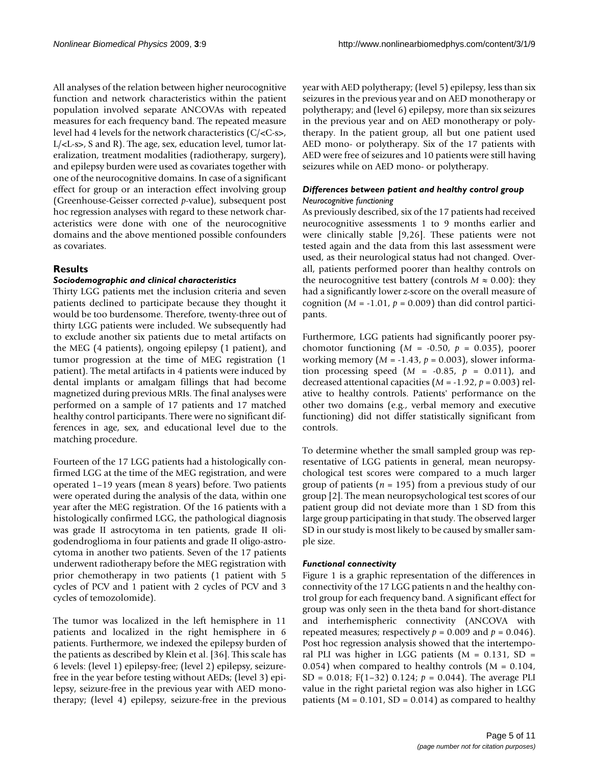All analyses of the relation between higher neurocognitive function and network characteristics within the patient population involved separate ANCOVAs with repeated measures for each frequency band. The repeated measure level had 4 levels for the network characteristics (C/<C-s>, L/<L-s>, S and R). The age, sex, education level, tumor lateralization, treatment modalities (radiotherapy, surgery), and epilepsy burden were used as covariates together with one of the neurocognitive domains. In case of a significant effect for group or an interaction effect involving group (Greenhouse-Geisser corrected *p*-value), subsequent post hoc regression analyses with regard to these network characteristics were done with one of the neurocognitive domains and the above mentioned possible confounders as covariates.

#### **Results**

#### *Sociodemographic and clinical characteristics*

Thirty LGG patients met the inclusion criteria and seven patients declined to participate because they thought it would be too burdensome. Therefore, twenty-three out of thirty LGG patients were included. We subsequently had to exclude another six patients due to metal artifacts on the MEG (4 patients), ongoing epilepsy (1 patient), and tumor progression at the time of MEG registration (1 patient). The metal artifacts in 4 patients were induced by dental implants or amalgam fillings that had become magnetized during previous MRIs. The final analyses were performed on a sample of 17 patients and 17 matched healthy control participants. There were no significant differences in age, sex, and educational level due to the matching procedure.

Fourteen of the 17 LGG patients had a histologically confirmed LGG at the time of the MEG registration, and were operated 1–19 years (mean 8 years) before. Two patients were operated during the analysis of the data, within one year after the MEG registration. Of the 16 patients with a histologically confirmed LGG, the pathological diagnosis was grade II astrocytoma in ten patients, grade II oligodendroglioma in four patients and grade II oligo-astrocytoma in another two patients. Seven of the 17 patients underwent radiotherapy before the MEG registration with prior chemotherapy in two patients (1 patient with 5 cycles of PCV and 1 patient with 2 cycles of PCV and 3 cycles of temozolomide).

The tumor was localized in the left hemisphere in 11 patients and localized in the right hemisphere in 6 patients. Furthermore, we indexed the epilepsy burden of the patients as described by Klein et al. [36]. This scale has 6 levels: (level 1) epilepsy-free; (level 2) epilepsy, seizurefree in the year before testing without AEDs; (level 3) epilepsy, seizure-free in the previous year with AED monotherapy; (level 4) epilepsy, seizure-free in the previous year with AED polytherapy; (level 5) epilepsy, less than six seizures in the previous year and on AED monotherapy or polytherapy; and (level 6) epilepsy, more than six seizures in the previous year and on AED monotherapy or polytherapy. In the patient group, all but one patient used AED mono- or polytherapy. Six of the 17 patients with AED were free of seizures and 10 patients were still having seizures while on AED mono- or polytherapy.

#### *Differences between patient and healthy control group Neurocognitive functioning*

As previously described, six of the 17 patients had received neurocognitive assessments 1 to 9 months earlier and were clinically stable [9,26]. These patients were not tested again and the data from this last assessment were used, as their neurological status had not changed. Overall, patients performed poorer than healthy controls on the neurocognitive test battery (controls  $M \approx 0.00$ ): they had a significantly lower *z*-score on the overall measure of cognition  $(M = -1.01, p = 0.009)$  than did control participants.

Furthermore, LGG patients had significantly poorer psychomotor functioning  $(M = -0.50, p = 0.035)$ , poorer working memory (*M* = -1.43, *p* = 0.003), slower information processing speed  $(M = -0.85, p = 0.011)$ , and decreased attentional capacities (*M* = -1.92, *p* = 0.003) relative to healthy controls. Patients' performance on the other two domains (e.g., verbal memory and executive functioning) did not differ statistically significant from controls.

To determine whether the small sampled group was representative of LGG patients in general, mean neuropsychological test scores were compared to a much larger group of patients (*n* = 195) from a previous study of our group [2]. The mean neuropsychological test scores of our patient group did not deviate more than 1 SD from this large group participating in that study. The observed larger SD in our study is most likely to be caused by smaller sample size.

#### *Functional connectivity*

Figure 1 is a graphic representation of the differences in connectivity of the 17 LGG patients n and the healthy control group for each frequency band. A significant effect for group was only seen in the theta band for short-distance and interhemispheric connectivity (ANCOVA with repeated measures; respectively  $p = 0.009$  and  $p = 0.046$ ). Post hoc regression analysis showed that the intertemporal PLI was higher in LGG patients  $(M = 0.131, SD =$ 0.054) when compared to healthy controls  $(M = 0.104,$ SD = 0.018;  $F(1-32)$  0.124;  $p = 0.044$ ). The average PLI value in the right parietal region was also higher in LGG patients ( $M = 0.101$ ,  $SD = 0.014$ ) as compared to healthy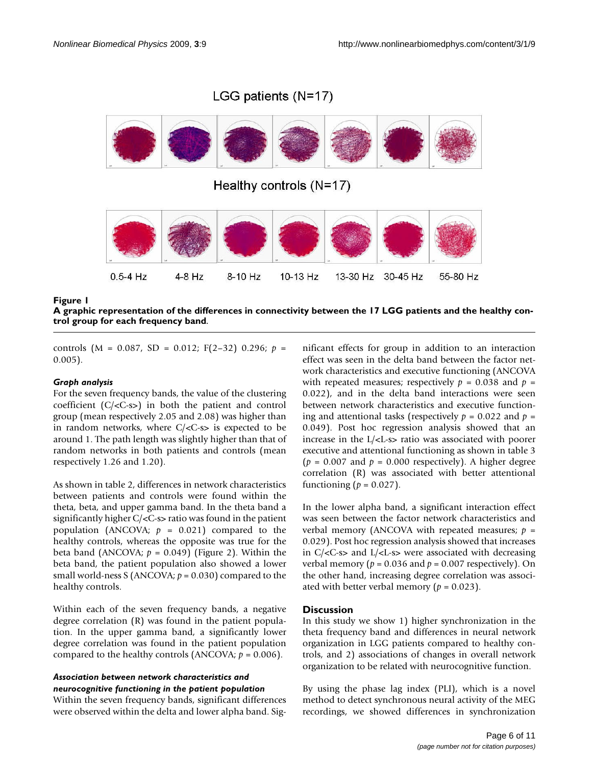## LGG patients (N=17)



**A graphic representation of the differences in connectivity between the 17 LGG patients and the healthy control group for each frequency band**.

controls (M = 0.087, SD = 0.012; F(2–32) 0.296; *p* = 0.005).

#### *Graph analysis*

For the seven frequency bands, the value of the clustering coefficient (C/<C-s>) in both the patient and control group (mean respectively 2.05 and 2.08) was higher than in random networks, where  $C/*C*-s$  is expected to be around 1. The path length was slightly higher than that of random networks in both patients and controls (mean respectively 1.26 and 1.20).

As shown in table 2, differences in network characteristics between patients and controls were found within the theta, beta, and upper gamma band. In the theta band a significantly higher C/<C-s> ratio was found in the patient population (ANCOVA;  $p = 0.021$ ) compared to the healthy controls, whereas the opposite was true for the beta band (ANCOVA;  $p = 0.049$ ) (Figure 2). Within the beta band, the patient population also showed a lower small world-ness S (ANCOVA; *p* = 0.030) compared to the healthy controls.

Within each of the seven frequency bands, a negative degree correlation (R) was found in the patient population. In the upper gamma band, a significantly lower degree correlation was found in the patient population compared to the healthy controls (ANCOVA;  $p = 0.006$ ).

#### *Association between network characteristics and neurocognitive functioning in the patient population*

Within the seven frequency bands, significant differences were observed within the delta and lower alpha band. Significant effects for group in addition to an interaction effect was seen in the delta band between the factor network characteristics and executive functioning (ANCOVA with repeated measures; respectively  $p = 0.038$  and  $p =$ 0.022), and in the delta band interactions were seen between network characteristics and executive functioning and attentional tasks (respectively  $p = 0.022$  and  $p =$ 0.049). Post hoc regression analysis showed that an increase in the L/<L-s> ratio was associated with poorer executive and attentional functioning as shown in table 3  $(p = 0.007$  and  $p = 0.000$  respectively). A higher degree correlation (R) was associated with better attentional functioning  $(p = 0.027)$ .

In the lower alpha band, a significant interaction effect was seen between the factor network characteristics and verbal memory (ANCOVA with repeated measures; *p* = 0.029). Post hoc regression analysis showed that increases in C/<C-s> and L/<L-s> were associated with decreasing verbal memory ( $p = 0.036$  and  $p = 0.007$  respectively). On the other hand, increasing degree correlation was associated with better verbal memory ( $p = 0.023$ ).

#### **Discussion**

In this study we show 1) higher synchronization in the theta frequency band and differences in neural network organization in LGG patients compared to healthy controls, and 2) associations of changes in overall network organization to be related with neurocognitive function.

By using the phase lag index (PLI), which is a novel method to detect synchronous neural activity of the MEG recordings, we showed differences in synchronization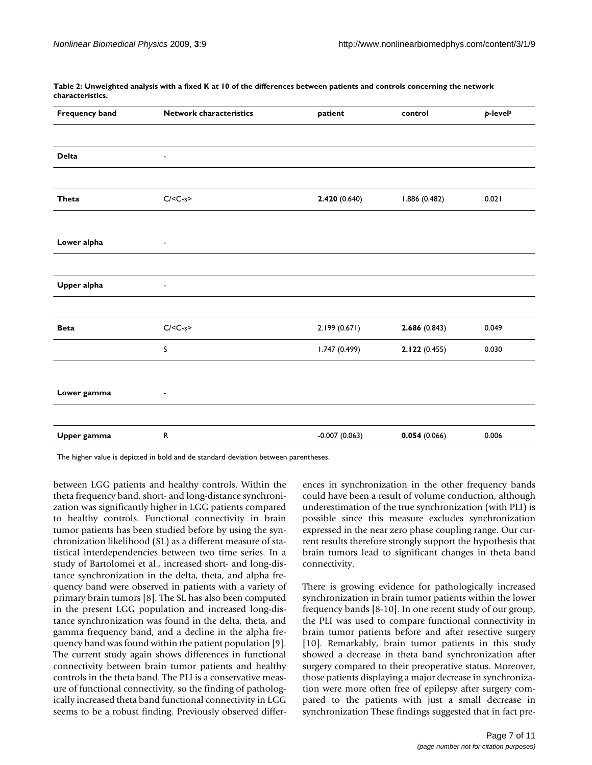| <b>Frequency band</b> | <b>Network characteristics</b> | patient         | control       | p-level <sup>a</sup> |
|-----------------------|--------------------------------|-----------------|---------------|----------------------|
|                       |                                |                 |               |                      |
| <b>Delta</b>          | $\qquad \qquad \blacksquare$   |                 |               |                      |
| Theta                 | $C/C-s$                        | 2.420(0.640)    | 1.886 (0.482) | 0.021                |
|                       |                                |                 |               |                      |
| Lower alpha           | $\overline{\phantom{a}}$       |                 |               |                      |
| Upper alpha           | $\overline{\phantom{a}}$       |                 |               |                      |
| <b>Beta</b>           | $C/C-s$                        | 2.199 (0.671)   | 2.686(0.843)  | 0.049                |
|                       | s                              | 1.747(0.499)    | 2.122(0.455)  | 0.030                |
| Lower gamma           | $\blacksquare$                 |                 |               |                      |
|                       |                                |                 |               |                      |
| Upper gamma           | ${\sf R}$                      | $-0.007(0.063)$ | 0.054(0.066)  | 0.006                |

**Table 2: Unweighted analysis with a fixed K at 10 of the differences between patients and controls concerning the network characteristics.** 

The higher value is depicted in bold and de standard deviation between parentheses.

between LGG patients and healthy controls. Within the theta frequency band, short- and long-distance synchronization was significantly higher in LGG patients compared to healthy controls. Functional connectivity in brain tumor patients has been studied before by using the synchronization likelihood (SL) as a different measure of statistical interdependencies between two time series. In a study of Bartolomei et al., increased short- and long-distance synchronization in the delta, theta, and alpha frequency band were observed in patients with a variety of primary brain tumors [8]. The SL has also been computed in the present LGG population and increased long-distance synchronization was found in the delta, theta, and gamma frequency band, and a decline in the alpha frequency band was found within the patient population [9]. The current study again shows differences in functional connectivity between brain tumor patients and healthy controls in the theta band. The PLI is a conservative measure of functional connectivity, so the finding of pathologically increased theta band functional connectivity in LGG seems to be a robust finding. Previously observed differences in synchronization in the other frequency bands could have been a result of volume conduction, although underestimation of the true synchronization (with PLI) is possible since this measure excludes synchronization expressed in the near zero phase coupling range. Our current results therefore strongly support the hypothesis that brain tumors lead to significant changes in theta band connectivity.

There is growing evidence for pathologically increased synchronization in brain tumor patients within the lower frequency bands [8-10]. In one recent study of our group, the PLI was used to compare functional connectivity in brain tumor patients before and after resective surgery [10]. Remarkably, brain tumor patients in this study showed a decrease in theta band synchronization after surgery compared to their preoperative status. Moreover, those patients displaying a major decrease in synchronization were more often free of epilepsy after surgery compared to the patients with just a small decrease in synchronization These findings suggested that in fact pre-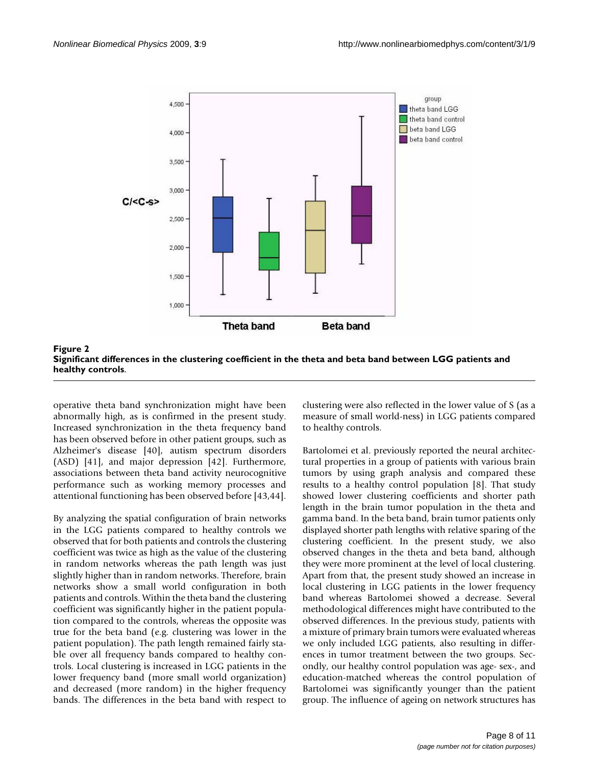



operative theta band synchronization might have been abnormally high, as is confirmed in the present study. Increased synchronization in the theta frequency band has been observed before in other patient groups, such as Alzheimer's disease [40], autism spectrum disorders (ASD) [41], and major depression [42]. Furthermore, associations between theta band activity neurocognitive performance such as working memory processes and attentional functioning has been observed before [43,44].

By analyzing the spatial configuration of brain networks in the LGG patients compared to healthy controls we observed that for both patients and controls the clustering coefficient was twice as high as the value of the clustering in random networks whereas the path length was just slightly higher than in random networks. Therefore, brain networks show a small world configuration in both patients and controls. Within the theta band the clustering coefficient was significantly higher in the patient population compared to the controls, whereas the opposite was true for the beta band (e.g. clustering was lower in the patient population). The path length remained fairly stable over all frequency bands compared to healthy controls. Local clustering is increased in LGG patients in the lower frequency band (more small world organization) and decreased (more random) in the higher frequency bands. The differences in the beta band with respect to

clustering were also reflected in the lower value of S (as a measure of small world-ness) in LGG patients compared to healthy controls.

Bartolomei et al. previously reported the neural architectural properties in a group of patients with various brain tumors by using graph analysis and compared these results to a healthy control population [8]. That study showed lower clustering coefficients and shorter path length in the brain tumor population in the theta and gamma band. In the beta band, brain tumor patients only displayed shorter path lengths with relative sparing of the clustering coefficient. In the present study, we also observed changes in the theta and beta band, although they were more prominent at the level of local clustering. Apart from that, the present study showed an increase in local clustering in LGG patients in the lower frequency band whereas Bartolomei showed a decrease. Several methodological differences might have contributed to the observed differences. In the previous study, patients with a mixture of primary brain tumors were evaluated whereas we only included LGG patients, also resulting in differences in tumor treatment between the two groups. Secondly, our healthy control population was age- sex-, and education-matched whereas the control population of Bartolomei was significantly younger than the patient group. The influence of ageing on network structures has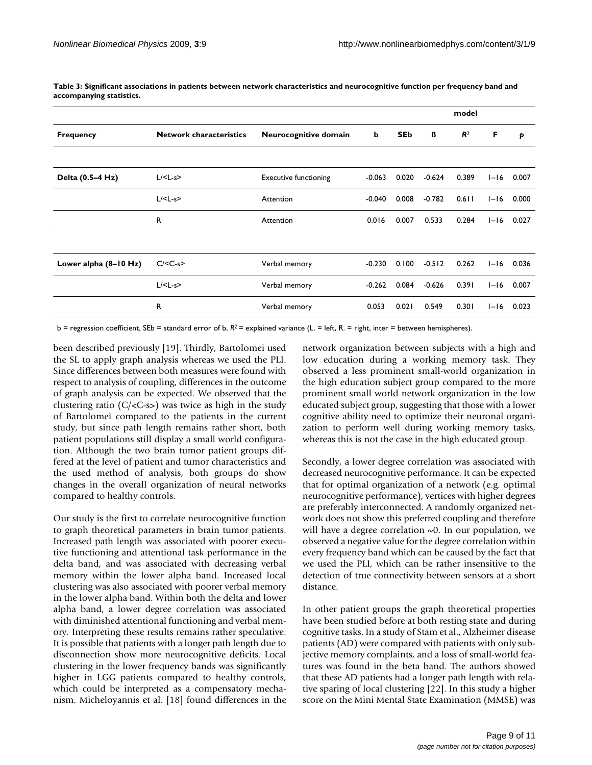|                         |                                |                              |          | model      |          |                |          |       |
|-------------------------|--------------------------------|------------------------------|----------|------------|----------|----------------|----------|-------|
| <b>Frequency</b>        | <b>Network characteristics</b> | Neurocognitive domain        | b        | <b>SEb</b> | ß        | R <sup>2</sup> | F        | Þ     |
|                         |                                |                              |          |            |          |                |          |       |
| Delta (0.5-4 Hz)        | $L$ /< $L$ -s>                 | <b>Executive functioning</b> | $-0.063$ | 0.020      | $-0.624$ | 0.389          | $I-I6$   | 0.007 |
|                         | $L$ /< $L-s$ >                 | Attention                    | $-0.040$ | 0.008      | $-0.782$ | $0.6$          | $1 - 16$ | 0.000 |
|                         | $\mathsf{R}$                   | Attention                    | 0.016    | 0.007      | 0.533    | 0.284          | $I-I6$   | 0.027 |
|                         |                                |                              |          |            |          |                |          |       |
| Lower alpha $(8-10 Hz)$ | $C/C-s$                        | Verbal memory                | $-0.230$ | 0.100      | $-0.512$ | 0.262          | $I-I6$   | 0.036 |
|                         | $L$ /< $L$ -s>                 | Verbal memory                | $-0.262$ | 0.084      | $-0.626$ | 0.391          | $I-I6$   | 0.007 |
|                         | $\mathsf{R}$                   | Verbal memory                | 0.053    | 0.021      | 0.549    | 0.301          | $1 - 16$ | 0.023 |

| Table 3: Significant associations in patients between network characteristics and neurocognitive function per frequency band and |  |  |
|----------------------------------------------------------------------------------------------------------------------------------|--|--|
| accompanying statistics.                                                                                                         |  |  |

b = regression coefficient, SEb = standard error of b, *R*2 = explained variance (L. = left, R. = right, inter = between hemispheres).

been described previously [19]. Thirdly, Bartolomei used the SL to apply graph analysis whereas we used the PLI. Since differences between both measures were found with respect to analysis of coupling, differences in the outcome of graph analysis can be expected. We observed that the clustering ratio (C/<C-s>) was twice as high in the study of Bartolomei compared to the patients in the current study, but since path length remains rather short, both patient populations still display a small world configuration. Although the two brain tumor patient groups differed at the level of patient and tumor characteristics and the used method of analysis, both groups do show changes in the overall organization of neural networks compared to healthy controls.

Our study is the first to correlate neurocognitive function to graph theoretical parameters in brain tumor patients. Increased path length was associated with poorer executive functioning and attentional task performance in the delta band, and was associated with decreasing verbal memory within the lower alpha band. Increased local clustering was also associated with poorer verbal memory in the lower alpha band. Within both the delta and lower alpha band, a lower degree correlation was associated with diminished attentional functioning and verbal memory. Interpreting these results remains rather speculative. It is possible that patients with a longer path length due to disconnection show more neurocognitive deficits. Local clustering in the lower frequency bands was significantly higher in LGG patients compared to healthy controls, which could be interpreted as a compensatory mechanism. Micheloyannis et al. [18] found differences in the network organization between subjects with a high and low education during a working memory task. They observed a less prominent small-world organization in the high education subject group compared to the more prominent small world network organization in the low educated subject group, suggesting that those with a lower cognitive ability need to optimize their neuronal organization to perform well during working memory tasks, whereas this is not the case in the high educated group.

Secondly, a lower degree correlation was associated with decreased neurocognitive performance. It can be expected that for optimal organization of a network (e.g. optimal neurocognitive performance), vertices with higher degrees are preferably interconnected. A randomly organized network does not show this preferred coupling and therefore will have a degree correlation  $\sim 0$ . In our population, we observed a negative value for the degree correlation within every frequency band which can be caused by the fact that we used the PLI, which can be rather insensitive to the detection of true connectivity between sensors at a short distance.

In other patient groups the graph theoretical properties have been studied before at both resting state and during cognitive tasks. In a study of Stam et al., Alzheimer disease patients (AD) were compared with patients with only subjective memory complaints, and a loss of small-world features was found in the beta band. The authors showed that these AD patients had a longer path length with relative sparing of local clustering [22]. In this study a higher score on the Mini Mental State Examination (MMSE) was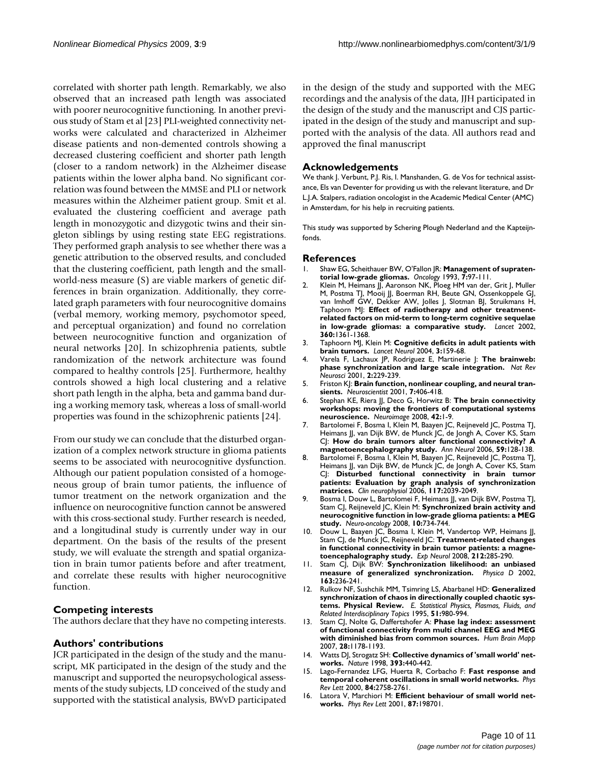correlated with shorter path length. Remarkably, we also observed that an increased path length was associated with poorer neurocognitive functioning. In another previous study of Stam et al [23] PLI-weighted connectivity networks were calculated and characterized in Alzheimer disease patients and non-demented controls showing a decreased clustering coefficient and shorter path length (closer to a random network) in the Alzheimer disease patients within the lower alpha band. No significant correlation was found between the MMSE and PLI or network measures within the Alzheimer patient group. Smit et al. evaluated the clustering coefficient and average path length in monozygotic and dizygotic twins and their singleton siblings by using resting state EEG registrations. They performed graph analysis to see whether there was a genetic attribution to the observed results, and concluded that the clustering coefficient, path length and the smallworld-ness measure (S) are viable markers of genetic differences in brain organization. Additionally, they correlated graph parameters with four neurocognitive domains (verbal memory, working memory, psychomotor speed, and perceptual organization) and found no correlation between neurocognitive function and organization of neural networks [20]. In schizophrenia patients, subtle randomization of the network architecture was found compared to healthy controls [25]. Furthermore, healthy controls showed a high local clustering and a relative short path length in the alpha, beta and gamma band during a working memory task, whereas a loss of small-world properties was found in the schizophrenic patients [24].

From our study we can conclude that the disturbed organization of a complex network structure in glioma patients seems to be associated with neurocognitive dysfunction. Although our patient population consisted of a homogeneous group of brain tumor patients, the influence of tumor treatment on the network organization and the influence on neurocognitive function cannot be answered with this cross-sectional study. Further research is needed, and a longitudinal study is currently under way in our department. On the basis of the results of the present study, we will evaluate the strength and spatial organization in brain tumor patients before and after treatment, and correlate these results with higher neurocognitive function.

#### **Competing interests**

The authors declare that they have no competing interests.

#### **Authors' contributions**

JCR participated in the design of the study and the manuscript, MK participated in the design of the study and the manuscript and supported the neuropsychological assessments of the study subjects, LD conceived of the study and supported with the statistical analysis, BWvD participated in the design of the study and supported with the MEG recordings and the analysis of the data, JJH participated in the design of the study and the manuscript and CJS participated in the design of the study and manuscript and supported with the analysis of the data. All authors read and approved the final manuscript

#### **Acknowledgements**

We thank J. Verbunt, P.J. Ris, I. Manshanden, G. de Vos for technical assistance, Els van Deventer for providing us with the relevant literature, and Dr L.J.A. Stalpers, radiation oncologist in the Academic Medical Center (AMC) in Amsterdam, for his help in recruiting patients.

This study was supported by Schering Plough Nederland and the Kapteijnfonds.

#### **References**

- Shaw EG, Scheithauer BW, O'Fallon JR: [Management of supraten](http://www.ncbi.nlm.nih.gov/entrez/query.fcgi?cmd=Retrieve&db=PubMed&dopt=Abstract&list_uids=8347464)**[torial low-grade gliomas.](http://www.ncbi.nlm.nih.gov/entrez/query.fcgi?cmd=Retrieve&db=PubMed&dopt=Abstract&list_uids=8347464)** *Oncology* 1993, **7:**97-111.
- 2. Klein M, Heimans JJ, Aaronson NK, Ploeg HM van der, Grit I, Muller M, Postma TJ, Mooij JJ, Boerman RH, Beute GN, Ossenkoppele GJ, van Imhoff GW, Dekker AW, Jolles J, Slotman BJ, Struikmans H, Taphoorn MJ: **[Effect of radiotherapy and other treatment](http://www.ncbi.nlm.nih.gov/entrez/query.fcgi?cmd=Retrieve&db=PubMed&dopt=Abstract&list_uids=12423981)[related factors on mid-term to long-term cognitive sequelae](http://www.ncbi.nlm.nih.gov/entrez/query.fcgi?cmd=Retrieve&db=PubMed&dopt=Abstract&list_uids=12423981) [in low-grade gliomas: a comparative study.](http://www.ncbi.nlm.nih.gov/entrez/query.fcgi?cmd=Retrieve&db=PubMed&dopt=Abstract&list_uids=12423981)** *Lancet* 2002, **360:**1361-1368.
- 3. Taphoorn MJ, Klein M: **[Cognitive deficits in adult patients with](http://www.ncbi.nlm.nih.gov/entrez/query.fcgi?cmd=Retrieve&db=PubMed&dopt=Abstract&list_uids=14980531) [brain tumors.](http://www.ncbi.nlm.nih.gov/entrez/query.fcgi?cmd=Retrieve&db=PubMed&dopt=Abstract&list_uids=14980531)** *Lancet Neurol* 2004, **3:**159-68.
- 4. Varela F, Lachaux JP, Rodriguez E, Martinerie J: **[The brainweb:](http://www.ncbi.nlm.nih.gov/entrez/query.fcgi?cmd=Retrieve&db=PubMed&dopt=Abstract&list_uids=11283746) [phase synchronization and large scale integration.](http://www.ncbi.nlm.nih.gov/entrez/query.fcgi?cmd=Retrieve&db=PubMed&dopt=Abstract&list_uids=11283746)** *Nat Rev Neurosci* 2001, **2:**229-239.
- 5. Friston KJ: **[Brain function, nonlinear coupling, and neural tran](http://www.ncbi.nlm.nih.gov/entrez/query.fcgi?cmd=Retrieve&db=PubMed&dopt=Abstract&list_uids=11597100)[sients.](http://www.ncbi.nlm.nih.gov/entrez/query.fcgi?cmd=Retrieve&db=PubMed&dopt=Abstract&list_uids=11597100)** *Neuroscientist* 2001, **7:**406-418.
- 6. Stephan KE, Riera JJ, Deco G, Horwitz B: **[The brain connectivity](http://www.ncbi.nlm.nih.gov/entrez/query.fcgi?cmd=Retrieve&db=PubMed&dopt=Abstract&list_uids=18511300) [workshops: moving the frontiers of computational systems](http://www.ncbi.nlm.nih.gov/entrez/query.fcgi?cmd=Retrieve&db=PubMed&dopt=Abstract&list_uids=18511300) [neuroscience.](http://www.ncbi.nlm.nih.gov/entrez/query.fcgi?cmd=Retrieve&db=PubMed&dopt=Abstract&list_uids=18511300)** *Neuroimage* 2008, **42:**1-9.
- 7. Bartolomei F, Bosma I, Klein M, Baayen JC, Reijneveld JC, Postma TJ, Heimans JJ, van Dijk BW, de Munck JC, de Jongh A, Cover KS, Stam CJ: **[How do brain tumors alter functional connectivity? A](http://www.ncbi.nlm.nih.gov/entrez/query.fcgi?cmd=Retrieve&db=PubMed&dopt=Abstract&list_uids=16278872) [magnetoencephalography study.](http://www.ncbi.nlm.nih.gov/entrez/query.fcgi?cmd=Retrieve&db=PubMed&dopt=Abstract&list_uids=16278872)** *Ann Neurol* 2006, **59:**128-138.
- 8. Bartolomei F, Bosma I, Klein M, Baayen JC, Reijneveld JC, Postma TJ, Heimans JJ, van Dijk BW, de Munck JC, de Jongh A, Cover KS, Stam CJ: **[Disturbed functional connectivity in brain tumor](http://www.ncbi.nlm.nih.gov/entrez/query.fcgi?cmd=Retrieve&db=PubMed&dopt=Abstract&list_uids=16859985) [patients: Evaluation by graph analysis of synchronization](http://www.ncbi.nlm.nih.gov/entrez/query.fcgi?cmd=Retrieve&db=PubMed&dopt=Abstract&list_uids=16859985) [matrices.](http://www.ncbi.nlm.nih.gov/entrez/query.fcgi?cmd=Retrieve&db=PubMed&dopt=Abstract&list_uids=16859985)** *Clin neurophysiol* 2006, **117:**2039-2049.
- 9. Bosma I, Douw L, Bartolomei F, Heimans JJ, van Dijk BW, Postma TJ, Stam CJ, Reijneveld JC, Klein M: **[Synchronized brain activity and](http://www.ncbi.nlm.nih.gov/entrez/query.fcgi?cmd=Retrieve&db=PubMed&dopt=Abstract&list_uids=18650489) [neurocognitive function in low-grade glioma patients: a MEG](http://www.ncbi.nlm.nih.gov/entrez/query.fcgi?cmd=Retrieve&db=PubMed&dopt=Abstract&list_uids=18650489) [study.](http://www.ncbi.nlm.nih.gov/entrez/query.fcgi?cmd=Retrieve&db=PubMed&dopt=Abstract&list_uids=18650489)** *Neuro-oncology* 2008, **10:**734-744.
- 10. Douw L, Baayen JC, Bosma I, Klein M, Vandertop WP, Heimans JJ, Stam CJ, de Munck JC, Reijneveld JC: **[Treatment-related changes](http://www.ncbi.nlm.nih.gov/entrez/query.fcgi?cmd=Retrieve&db=PubMed&dopt=Abstract&list_uids=18534578) [in functional connectivity in brain tumor patients: a magne](http://www.ncbi.nlm.nih.gov/entrez/query.fcgi?cmd=Retrieve&db=PubMed&dopt=Abstract&list_uids=18534578)[toencephalography study.](http://www.ncbi.nlm.nih.gov/entrez/query.fcgi?cmd=Retrieve&db=PubMed&dopt=Abstract&list_uids=18534578)** *Exp Neurol* 2008, **212:**285-290.
- 11. Stam CJ, Dijk BW: **Synchronization likelihood: an unbiased measure of generalized synchronization.** *Physica D* 2002, **163:**236-241.
- 12. Rulkov NF, Sushchik MM, Tsimring LS, Abarbanel HD: **Generalized synchronization of chaos in directionally coupled chaotic systems. Physical Review.** *E. Statistical Physics, Plasmas, Fluids, and Related Interdisciplinary Topics* 1995, **51:**980-994.
- 13. Stam CJ, Nolte G, Daffertshofer A: **[Phase lag index: assessment](http://www.ncbi.nlm.nih.gov/entrez/query.fcgi?cmd=Retrieve&db=PubMed&dopt=Abstract&list_uids=17266107) [of functional connectivity from multi channel EEG and MEG](http://www.ncbi.nlm.nih.gov/entrez/query.fcgi?cmd=Retrieve&db=PubMed&dopt=Abstract&list_uids=17266107) [with diminished bias from common sources.](http://www.ncbi.nlm.nih.gov/entrez/query.fcgi?cmd=Retrieve&db=PubMed&dopt=Abstract&list_uids=17266107)** *Hum Brain Mapp* 2007, **28:**1178-1193.
- 14. Watts DJ, Strogatz SH: **[Collective dynamics of 'small world' net](http://www.ncbi.nlm.nih.gov/entrez/query.fcgi?cmd=Retrieve&db=PubMed&dopt=Abstract&list_uids=9623998)[works.](http://www.ncbi.nlm.nih.gov/entrez/query.fcgi?cmd=Retrieve&db=PubMed&dopt=Abstract&list_uids=9623998)** *Nature* 1998, **393:**440-442.
- 15. Lago-Fernandez LFG, Huerta R, Corbacho F: **[Fast response and](http://www.ncbi.nlm.nih.gov/entrez/query.fcgi?cmd=Retrieve&db=PubMed&dopt=Abstract&list_uids=11017318) [temporal coherent oscillations in small world networks.](http://www.ncbi.nlm.nih.gov/entrez/query.fcgi?cmd=Retrieve&db=PubMed&dopt=Abstract&list_uids=11017318)** *Phys Rev Lett* 2000, **84:**2758-2761.
- 16. Latora V, Marchiori M: **[Efficient behaviour of small world net](http://www.ncbi.nlm.nih.gov/entrez/query.fcgi?cmd=Retrieve&db=PubMed&dopt=Abstract&list_uids=11690461)[works.](http://www.ncbi.nlm.nih.gov/entrez/query.fcgi?cmd=Retrieve&db=PubMed&dopt=Abstract&list_uids=11690461)** *Phys Rev Lett* 2001, **87:**198701.